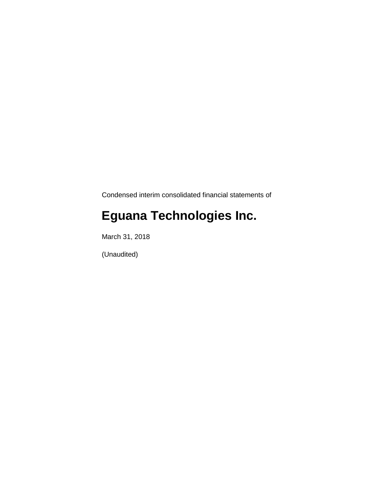Condensed interim consolidated financial statements of

# **Eguana Technologies Inc.**

March 31, 2018

(Unaudited)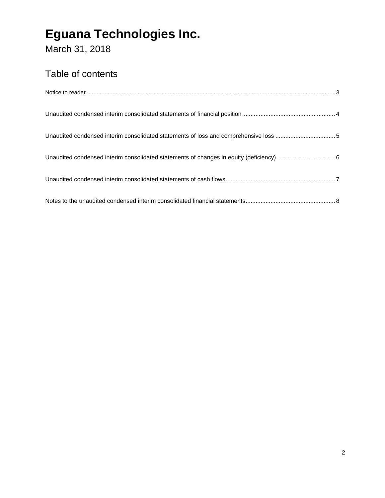March 31, 2018

### Table of contents

| Unaudited condensed interim consolidated statements of loss and comprehensive loss 5 |  |
|--------------------------------------------------------------------------------------|--|
|                                                                                      |  |
|                                                                                      |  |
|                                                                                      |  |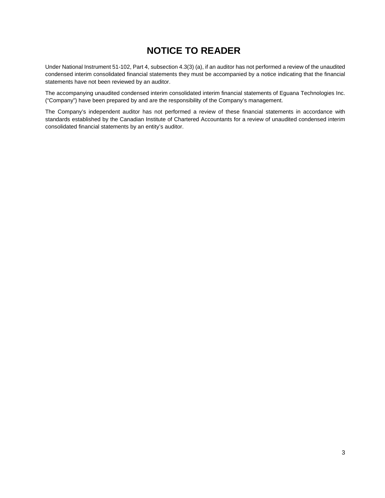### **NOTICE TO READER**

Under National Instrument 51-102, Part 4, subsection 4.3(3) (a), if an auditor has not performed a review of the unaudited condensed interim consolidated financial statements they must be accompanied by a notice indicating that the financial statements have not been reviewed by an auditor.

The accompanying unaudited condensed interim consolidated interim financial statements of Eguana Technologies Inc. ("Company") have been prepared by and are the responsibility of the Company's management.

The Company's independent auditor has not performed a review of these financial statements in accordance with standards established by the Canadian Institute of Chartered Accountants for a review of unaudited condensed interim consolidated financial statements by an entity's auditor.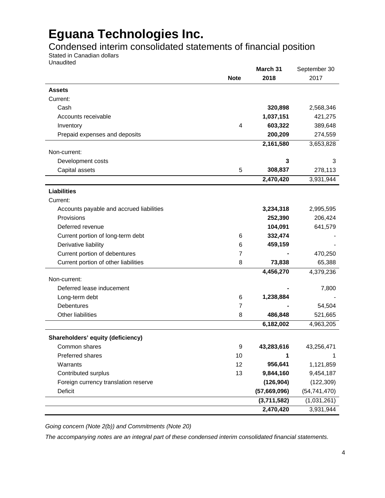Condensed interim consolidated statements of financial position

Stated in Canadian dollars

Unaudited

|                                          |             | March 31     | September 30   |
|------------------------------------------|-------------|--------------|----------------|
|                                          | <b>Note</b> | 2018         | 2017           |
| <b>Assets</b>                            |             |              |                |
| Current:                                 |             |              |                |
| Cash                                     |             | 320,898      | 2,568,346      |
| Accounts receivable                      |             | 1,037,151    | 421,275        |
| Inventory                                | 4           | 603,322      | 389,648        |
| Prepaid expenses and deposits            |             | 200,209      | 274,559        |
|                                          |             | 2,161,580    | 3,653,828      |
| Non-current:                             |             |              |                |
| Development costs                        |             | 3            | 3              |
| Capital assets                           | 5           | 308,837      | 278,113        |
|                                          |             | 2,470,420    | 3,931,944      |
| <b>Liabilities</b>                       |             |              |                |
| Current:                                 |             |              |                |
| Accounts payable and accrued liabilities |             | 3,234,318    | 2,995,595      |
| Provisions                               |             | 252,390      | 206,424        |
| Deferred revenue                         |             | 104,091      | 641,579        |
| Current portion of long-term debt        | 6           | 332,474      |                |
| Derivative liability                     | 6           | 459,159      |                |
| Current portion of debentures            | 7           |              | 470,250        |
| Current portion of other liabilities     | 8           | 73,838       | 65,388         |
|                                          |             | 4,456,270    | 4,379,236      |
| Non-current:                             |             |              |                |
| Deferred lease inducement                |             |              | 7,800          |
| Long-term debt                           | 6           | 1,238,884    |                |
| <b>Debentures</b>                        | 7           |              | 54,504         |
| Other liabilities                        | 8           | 486,848      | 521,665        |
|                                          |             | 6,182,002    | 4,963,205      |
| Shareholders' equity (deficiency)        |             |              |                |
| Common shares                            | 9           | 43,283,616   | 43,256,471     |
| Preferred shares                         | 10          | 1            | 1              |
| Warrants                                 | 12          | 956,641      | 1,121,859      |
| Contributed surplus                      | 13          | 9,844,160    | 9,454,187      |
| Foreign currency translation reserve     |             | (126, 904)   | (122, 309)     |
| Deficit                                  |             | (57,669,096) | (54, 741, 470) |
|                                          |             | (3,711,582)  | (1,031,261)    |
|                                          |             | 2,470,420    | 3,931,944      |

*Going concern (Note 2(b)) and Commitments (Note 20)* 

*The accompanying notes are an integral part of these condensed interim consolidated financial statements.*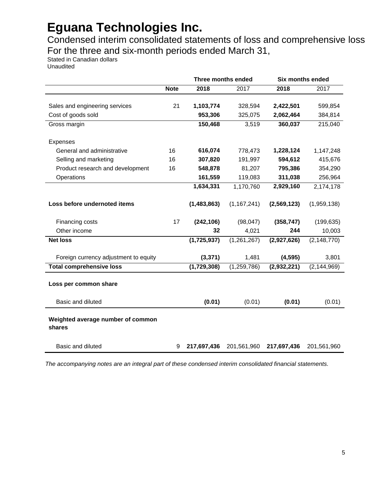Condensed interim consolidated statements of loss and comprehensive loss For the three and six-month periods ended March 31,

Stated in Canadian dollars Unaudited

|                                             |             |             | Three months ended |             | <b>Six months ended</b> |
|---------------------------------------------|-------------|-------------|--------------------|-------------|-------------------------|
|                                             | <b>Note</b> | 2018        | 2017               | 2018        | 2017                    |
|                                             |             |             |                    |             |                         |
| Sales and engineering services              | 21          | 1,103,774   | 328,594            | 2,422,501   | 599,854                 |
| Cost of goods sold                          |             | 953,306     | 325,075            | 2,062,464   | 384,814                 |
| Gross margin                                |             | 150,468     | 3,519              | 360,037     | 215,040                 |
| Expenses                                    |             |             |                    |             |                         |
| General and administrative                  | 16          | 616,074     | 778,473            | 1,228,124   | 1,147,248               |
| Selling and marketing                       | 16          | 307,820     | 191,997            | 594,612     | 415,676                 |
| Product research and development            | 16          | 548,878     | 81,207             | 795,386     | 354,290                 |
| Operations                                  |             | 161,559     | 119,083            | 311,038     | 256,964                 |
|                                             |             | 1,634,331   | 1,170,760          | 2,929,160   | 2,174,178               |
|                                             |             |             |                    |             |                         |
| Loss before undernoted items                |             | (1,483,863) | (1, 167, 241)      | (2,569,123) | (1,959,138)             |
| Financing costs                             | 17          | (242, 106)  | (98, 047)          | (358, 747)  | (199, 635)              |
| Other income                                |             | 32          | 4,021              | 244         | 10,003                  |
| <b>Net loss</b>                             |             | (1,725,937) | (1, 261, 267)      | (2,927,626) | (2, 148, 770)           |
|                                             |             |             |                    |             |                         |
| Foreign currency adjustment to equity       |             | (3, 371)    | 1,481              | (4, 595)    | 3,801                   |
| <b>Total comprehensive loss</b>             |             | (1,729,308) | (1, 259, 786)      | (2,932,221) | (2, 144, 969)           |
| Loss per common share                       |             |             |                    |             |                         |
|                                             |             |             |                    |             |                         |
| Basic and diluted                           |             | (0.01)      | (0.01)             | (0.01)      | (0.01)                  |
| Weighted average number of common<br>shares |             |             |                    |             |                         |
| Basic and diluted                           | 9           | 217,697,436 | 201,561,960        | 217,697,436 | 201,561,960             |

*The accompanying notes are an integral part of these condensed interim consolidated financial statements.*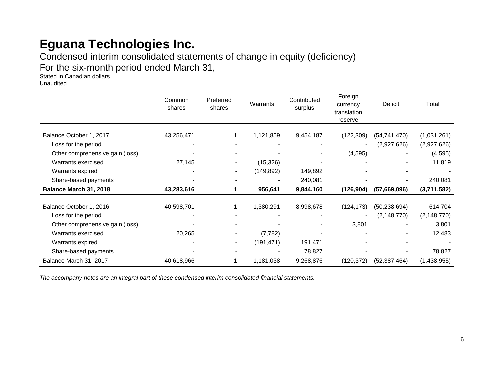Condensed interim consolidated statements of change in equity (deficiency) For the six-month period ended March 31,

Stated in Canadian dollars Unaudited

|                                 | Common<br>shares | Preferred<br>shares      | Warrants   | Contributed<br>surplus | Foreign<br>currency<br>translation<br>reserve | Deficit        | Total         |
|---------------------------------|------------------|--------------------------|------------|------------------------|-----------------------------------------------|----------------|---------------|
| Balance October 1, 2017         | 43,256,471       |                          | 1,121,859  | 9,454,187              | (122, 309)                                    | (54, 741, 470) | (1,031,261)   |
| Loss for the period             |                  |                          |            |                        |                                               | (2,927,626)    | (2,927,626)   |
| Other comprehensive gain (loss) |                  |                          |            |                        | (4, 595)                                      |                | (4, 595)      |
| Warrants exercised              | 27,145           | $\blacksquare$           | (15, 326)  |                        |                                               |                | 11,819        |
| Warrants expired                |                  | $\overline{\phantom{a}}$ | (149, 892) | 149,892                |                                               |                |               |
| Share-based payments            |                  |                          |            | 240,081                |                                               | $\blacksquare$ | 240,081       |
| Balance March 31, 2018          | 43,283,616       |                          | 956,641    | 9,844,160              | (126, 904)                                    | (57,669,096)   | (3,711,582)   |
| Balance October 1, 2016         | 40,598,701       |                          | 1,380,291  | 8,998,678              | (124, 173)                                    | (50, 238, 694) | 614,704       |
| Loss for the period             |                  |                          |            |                        |                                               | (2, 148, 770)  | (2, 148, 770) |
| Other comprehensive gain (loss) |                  |                          |            |                        | 3,801                                         |                | 3,801         |
| Warrants exercised              | 20,265           | $\blacksquare$           | (7, 782)   |                        |                                               |                | 12,483        |
| Warrants expired                |                  | $\blacksquare$           | (191, 471) | 191,471                |                                               |                |               |
| Share-based payments            |                  |                          |            | 78,827                 |                                               |                | 78,827        |
| Balance March 31, 2017          | 40,618,966       |                          | 1,181,038  | 9,268,876              | (120, 372)                                    | (52, 387, 464) | (1,438,955)   |

*The accompany notes are an integral part of these condensed interim consolidated financial statements.*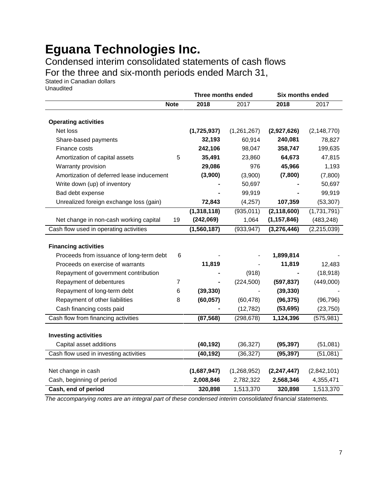Condensed interim consolidated statements of cash flows

For the three and six-month periods ended March 31,

Stated in Canadian dollars Unaudited

|                                           |                | Three months ended |             | Six months ended |               |
|-------------------------------------------|----------------|--------------------|-------------|------------------|---------------|
|                                           | <b>Note</b>    | 2018               | 2017        | 2018             | 2017          |
|                                           |                |                    |             |                  |               |
| <b>Operating activities</b>               |                |                    |             |                  |               |
| Net loss                                  |                | (1,725,937)        | (1,261,267) | (2,927,626)      | (2, 148, 770) |
| Share-based payments                      |                | 32,193             | 60,914      | 240,081          | 78,827        |
| Finance costs                             |                | 242,106            | 98,047      | 358,747          | 199,635       |
| Amortization of capital assets            | 5              | 35,491             | 23,860      | 64,673           | 47,815        |
| Warranty provision                        |                | 29,086             | 976         | 45,966           | 1,193         |
| Amortization of deferred lease inducement |                | (3,900)            | (3,900)     | (7,800)          | (7,800)       |
| Write down (up) of inventory              |                |                    | 50,697      |                  | 50,697        |
| Bad debt expense                          |                |                    | 99,919      |                  | 99,919        |
| Unrealized foreign exchange loss (gain)   |                | 72,843             | (4,257)     | 107,359          | (53, 307)     |
|                                           |                | (1,318,118)        | (935, 011)  | (2, 118, 600)    | (1,731,791)   |
| Net change in non-cash working capital    | 19             | (242,069)          | 1,064       | (1, 157, 846)    | (483, 248)    |
| Cash flow used in operating activities    |                | (1,560,187)        | (933, 947)  | (3,276,446)      | (2, 215, 039) |
|                                           |                |                    |             |                  |               |
| <b>Financing activities</b>               |                |                    |             |                  |               |
| Proceeds from issuance of long-term debt  | 6              |                    |             | 1,899,814        |               |
| Proceeds on exercise of warrants          |                | 11,819             |             | 11,819           | 12,483        |
| Repayment of government contribution      |                |                    | (918)       |                  | (18, 918)     |
| Repayment of debentures                   | $\overline{7}$ |                    | (224, 500)  | (597, 837)       | (449,000)     |
| Repayment of long-term debt               | 6              | (39, 330)          |             | (39, 330)        |               |
| Repayment of other liabilities            | 8              | (60, 057)          | (60, 478)   | (96, 375)        | (96, 796)     |
| Cash financing costs paid                 |                |                    | (12, 782)   | (53, 695)        | (23, 750)     |
| Cash flow from financing activities       |                | (87, 568)          | (298, 678)  | 1,124,396        | (575, 981)    |
|                                           |                |                    |             |                  |               |
| <b>Investing activities</b>               |                |                    |             |                  |               |
| Capital asset additions                   |                | (40, 192)          | (36, 327)   | (95, 397)        | (51,081)      |
| Cash flow used in investing activities    |                | (40, 192)          | (36, 327)   | (95, 397)        | (51,081)      |
|                                           |                |                    |             |                  |               |
| Net change in cash                        |                | (1,687,947)        | (1,268,952) | (2, 247, 447)    | (2,842,101)   |
| Cash, beginning of period                 |                | 2,008,846          | 2,782,322   | 2,568,346        | 4,355,471     |
| Cash, end of period                       |                | 320,898            | 1,513,370   | 320,898          | 1,513,370     |

*The accompanying notes are an integral part of these condensed interim consolidated financial statements.*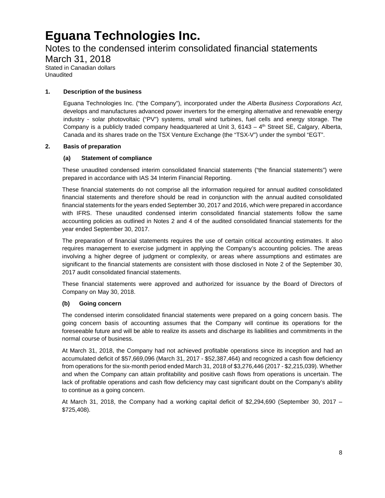### Notes to the condensed interim consolidated financial statements

March 31, 2018 Stated in Canadian dollars Unaudited

### **1. Description of the business**

Eguana Technologies Inc. ("the Company"), incorporated under the *Alberta Business Corporations Act*, develops and manufactures advanced power inverters for the emerging alternative and renewable energy industry - solar photovoltaic ("PV") systems, small wind turbines, fuel cells and energy storage. The Company is a publicly traded company headquartered at Unit 3,  $6143 - 4$ <sup>th</sup> Street SE, Calgary, Alberta, Canada and its shares trade on the TSX Venture Exchange (the "TSX-V") under the symbol "EGT".

#### **2. Basis of preparation**

#### **(a) Statement of compliance**

These unaudited condensed interim consolidated financial statements ("the financial statements") were prepared in accordance with IAS 34 Interim Financial Reporting.

These financial statements do not comprise all the information required for annual audited consolidated financial statements and therefore should be read in conjunction with the annual audited consolidated financial statements for the years ended September 30, 2017 and 2016, which were prepared in accordance with IFRS. These unaudited condensed interim consolidated financial statements follow the same accounting policies as outlined in Notes 2 and 4 of the audited consolidated financial statements for the year ended September 30, 2017.

The preparation of financial statements requires the use of certain critical accounting estimates. It also requires management to exercise judgment in applying the Company's accounting policies. The areas involving a higher degree of judgment or complexity, or areas where assumptions and estimates are significant to the financial statements are consistent with those disclosed in Note 2 of the September 30, 2017 audit consolidated financial statements.

These financial statements were approved and authorized for issuance by the Board of Directors of Company on May 30, 2018.

#### **(b) Going concern**

The condensed interim consolidated financial statements were prepared on a going concern basis. The going concern basis of accounting assumes that the Company will continue its operations for the foreseeable future and will be able to realize its assets and discharge its liabilities and commitments in the normal course of business.

At March 31, 2018, the Company had not achieved profitable operations since its inception and had an accumulated deficit of \$57,669,096 (March 31, 2017 - \$52,387,464) and recognized a cash flow deficiency from operations for the six-month period ended March 31, 2018 of \$3,276,446 (2017 - \$2,215,039). Whether and when the Company can attain profitability and positive cash flows from operations is uncertain. The lack of profitable operations and cash flow deficiency may cast significant doubt on the Company's ability to continue as a going concern.

At March 31, 2018, the Company had a working capital deficit of \$2,294,690 (September 30, 2017 – \$725,408).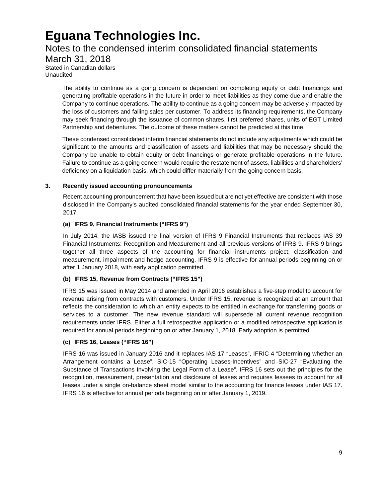### Notes to the condensed interim consolidated financial statements March 31, 2018

Stated in Canadian dollars Unaudited

> The ability to continue as a going concern is dependent on completing equity or debt financings and generating profitable operations in the future in order to meet liabilities as they come due and enable the Company to continue operations. The ability to continue as a going concern may be adversely impacted by the loss of customers and falling sales per customer. To address its financing requirements, the Company may seek financing through the issuance of common shares, first preferred shares, units of EGT Limited Partnership and debentures. The outcome of these matters cannot be predicted at this time.

> These condensed consolidated interim financial statements do not include any adjustments which could be significant to the amounts and classification of assets and liabilities that may be necessary should the Company be unable to obtain equity or debt financings or generate profitable operations in the future. Failure to continue as a going concern would require the restatement of assets, liabilities and shareholders' deficiency on a liquidation basis, which could differ materially from the going concern basis.

#### **3. Recently issued accounting pronouncements**

Recent accounting pronouncement that have been issued but are not yet effective are consistent with those disclosed in the Company's audited consolidated financial statements for the year ended September 30, 2017.

#### **(a) IFRS 9, Financial Instruments ("IFRS 9")**

In July 2014, the IASB issued the final version of IFRS 9 Financial Instruments that replaces IAS 39 Financial Instruments: Recognition and Measurement and all previous versions of IFRS 9. IFRS 9 brings together all three aspects of the accounting for financial instruments project; classification and measurement, impairment and hedge accounting. IFRS 9 is effective for annual periods beginning on or after 1 January 2018, with early application permitted.

### **(b) IFRS 15, Revenue from Contracts ("IFRS 15")**

IFRS 15 was issued in May 2014 and amended in April 2016 establishes a five-step model to account for revenue arising from contracts with customers. Under IFRS 15, revenue is recognized at an amount that reflects the consideration to which an entity expects to be entitled in exchange for transferring goods or services to a customer. The new revenue standard will supersede all current revenue recognition requirements under IFRS. Either a full retrospective application or a modified retrospective application is required for annual periods beginning on or after January 1, 2018. Early adoption is permitted.

### **(c) IFRS 16, Leases ("IFRS 16")**

IFRS 16 was issued in January 2016 and it replaces IAS 17 "Leases", IFRIC 4 "Determining whether an Arrangement contains a Lease", SIC-15 "Operating Leases-Incentives" and SIC-27 "Evaluating the Substance of Transactions Involving the Legal Form of a Lease". IFRS 16 sets out the principles for the recognition, measurement, presentation and disclosure of leases and requires lessees to account for all leases under a single on-balance sheet model similar to the accounting for finance leases under IAS 17. IFRS 16 is effective for annual periods beginning on or after January 1, 2019.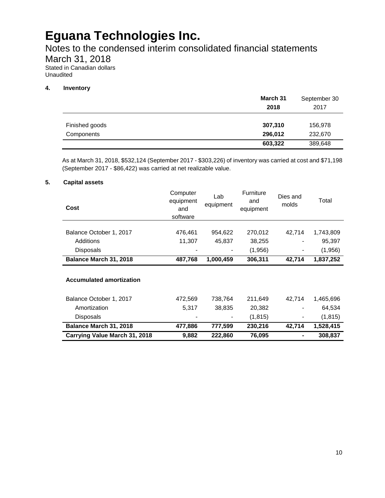Notes to the condensed interim consolidated financial statements

March 31, 2018

Stated in Canadian dollars Unaudited

### **4. Inventory**

|                | March 31<br>2018   | September 30<br>2017 |
|----------------|--------------------|----------------------|
| Finished goods | 307,310            | 156,978              |
| Components     | 296,012<br>603,322 | 232,670<br>389,648   |

As at March 31, 2018, \$532,124 (September 2017 - \$303,226) of inventory was carried at cost and \$71,198 (September 2017 - \$86,422) was carried at net realizable value.

### **5. Capital assets**

| Cost                            | Computer<br>equipment<br>and<br>software | Lab<br>equipment | <b>Furniture</b><br>and<br>equipment | Dies and<br>molds | Total     |
|---------------------------------|------------------------------------------|------------------|--------------------------------------|-------------------|-----------|
|                                 |                                          |                  |                                      |                   |           |
| Balance October 1, 2017         | 476,461                                  | 954,622          | 270,012                              | 42,714            | 1,743,809 |
| Additions                       | 11,307                                   | 45,837           | 38,255                               |                   | 95,397    |
| <b>Disposals</b>                |                                          |                  | (1,956)                              |                   | (1,956)   |
| Balance March 31, 2018          | 487,768                                  | 1,000,459        | 306,311                              | 42,714            | 1,837,252 |
| <b>Accumulated amortization</b> |                                          |                  |                                      |                   |           |
| Balance October 1, 2017         | 472,569                                  | 738,764          | 211,649                              | 42,714            | 1,465,696 |
| Amortization                    | 5,317                                    | 38,835           | 20,382                               |                   | 64,534    |
| <b>Disposals</b>                |                                          |                  | (1, 815)                             |                   | (1, 815)  |
| Balance March 31, 2018          | 477,886                                  | 777,599          | 230,216                              | 42,714            | 1,528,415 |
| Carrying Value March 31, 2018   | 9,882                                    | 222,860          | 76,095                               |                   | 308,837   |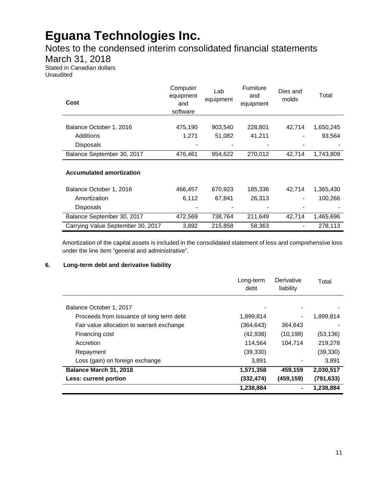### Notes to the condensed interim consolidated financial statements

### March 31, 2018

Stated in Canadian dollars Unaudited

| Cost                              | Computer<br>equipment<br>and<br>software | Lab<br>equipment | <b>Furniture</b><br>and<br>equipment | Dies and<br>molds | Total     |
|-----------------------------------|------------------------------------------|------------------|--------------------------------------|-------------------|-----------|
|                                   |                                          |                  |                                      |                   |           |
| Balance October 1, 2016           | 475,190                                  | 903,540          | 228,801                              | 42,714            | 1,650,245 |
| Additions                         | 1,271                                    | 51,082           | 41,211                               |                   | 93,564    |
| <b>Disposals</b>                  |                                          |                  |                                      |                   |           |
| Balance September 30, 2017        | 476,461                                  | 954,622          | 270,012                              | 42,714            | 1,743,809 |
| <b>Accumulated amortization</b>   |                                          |                  |                                      |                   |           |
| Balance October 1, 2016           | 466,457                                  | 670,923          | 185,336                              | 42,714            | 1,365,430 |
| Amortization                      | 6,112                                    | 67,841           | 26,313                               |                   | 100,266   |
| Disposals                         |                                          |                  |                                      |                   |           |
| Balance September 30, 2017        | 472,569                                  | 738,764          | 211,649                              | 42,714            | 1,465,696 |
| Carrying Value September 30, 2017 | 3,892                                    | 215,858          | 58,363                               | $\blacksquare$    | 278,113   |

Amortization of the capital assets is included in the consolidated statement of loss and comprehensive loss under the line item "general and administrative".

### **6. Long-term debt and derivative liability**

|                                           | Long-term<br>debt | Derivative<br>liability | Total      |
|-------------------------------------------|-------------------|-------------------------|------------|
| Balance October 1, 2017                   |                   |                         |            |
| Proceeds from issuance of long term debt  | 1,899,814         |                         | 1,899,814  |
| Fair value allocation to warrant exchange | (364.643)         | 364,643                 |            |
| Financing cost                            | (42, 938)         | (10, 198)               | (53, 136)  |
| Accretion                                 | 114,564           | 104.714                 | 219,278    |
| Repayment                                 | (39, 330)         |                         | (39, 330)  |
| Loss (gain) on foreign exchange           | 3,891             |                         | 3,891      |
| Balance March 31, 2018                    | 1,571,358         | 459,159                 | 2,030,517  |
| Less: current portion                     | (332, 474)        | (459,159)               | (791, 633) |
|                                           | 1,238,884         |                         | 1,238,884  |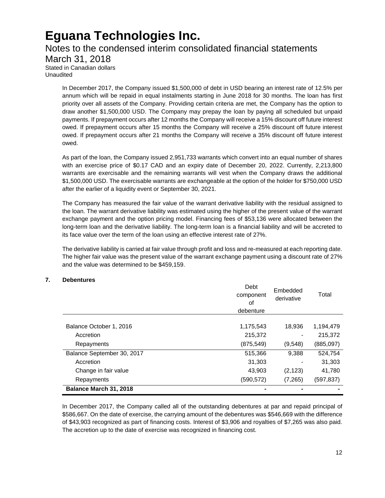### Notes to the condensed interim consolidated financial statements March 31, 2018

Stated in Canadian dollars Unaudited

> In December 2017, the Company issued \$1,500,000 of debt in USD bearing an interest rate of 12.5% per annum which will be repaid in equal instalments starting in June 2018 for 30 months. The loan has first priority over all assets of the Company. Providing certain criteria are met, the Company has the option to draw another \$1,500,000 USD. The Company may prepay the loan by paying all scheduled but unpaid payments. If prepayment occurs after 12 months the Company will receive a 15% discount off future interest owed. If prepayment occurs after 15 months the Company will receive a 25% discount off future interest owed. If prepayment occurs after 21 months the Company will receive a 35% discount off future interest owed.

> As part of the loan, the Company issued 2,951,733 warrants which convert into an equal number of shares with an exercise price of \$0.17 CAD and an expiry date of December 20, 2022. Currently, 2,213,800 warrants are exercisable and the remaining warrants will vest when the Company draws the additional \$1,500,000 USD. The exercisable warrants are exchangeable at the option of the holder for \$750,000 USD after the earlier of a liquidity event or September 30, 2021.

> The Company has measured the fair value of the warrant derivative liability with the residual assigned to the loan. The warrant derivative liability was estimated using the higher of the present value of the warrant exchange payment and the option pricing model. Financing fees of \$53,136 were allocated between the long-term loan and the derivative liability. The long-term loan is a financial liability and will be accreted to its face value over the term of the loan using an effective interest rate of 27%.

> The derivative liability is carried at fair value through profit and loss and re-measured at each reporting date. The higher fair value was the present value of the warrant exchange payment using a discount rate of 27% and the value was determined to be \$459,159.

### **7. Debentures**

|                            | Debt<br>component<br>οf<br>debenture | Embedded<br>derivative | Total      |
|----------------------------|--------------------------------------|------------------------|------------|
|                            |                                      |                        |            |
| Balance October 1, 2016    | 1,175,543                            | 18,936                 | 1,194,479  |
| Accretion                  | 215,372                              |                        | 215,372    |
| Repayments                 | (875, 549)                           | (9,548)                | (885,097)  |
| Balance September 30, 2017 | 515,366                              | 9,388                  | 524,754    |
| Accretion                  | 31,303                               |                        | 31,303     |
| Change in fair value       | 43,903                               | (2, 123)               | 41,780     |
| Repayments                 | (590, 572)                           | (7,265)                | (597, 837) |
| Balance March 31, 2018     |                                      |                        |            |

In December 2017, the Company called all of the outstanding debentures at par and repaid principal of \$586,667. On the date of exercise, the carrying amount of the debentures was \$546,669 with the difference of \$43,903 recognized as part of financing costs. Interest of \$3,906 and royalties of \$7,265 was also paid. The accretion up to the date of exercise was recognized in financing cost.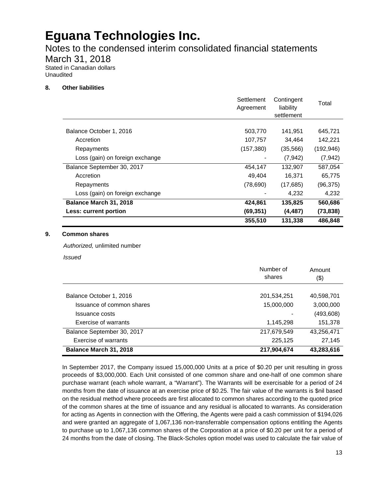Notes to the condensed interim consolidated financial statements

March 31, 2018

Stated in Canadian dollars Unaudited

### **8. Other liabilities**

|                                 | Settlement<br>Agreement | Contingent<br>liability<br>settlement | Total      |
|---------------------------------|-------------------------|---------------------------------------|------------|
|                                 |                         |                                       |            |
| Balance October 1, 2016         | 503,770                 | 141,951                               | 645,721    |
| Accretion                       | 107,757                 | 34,464                                | 142,221    |
| Repayments                      | (157, 380)              | (35,566)                              | (192, 946) |
| Loss (gain) on foreign exchange |                         | (7, 942)                              | (7, 942)   |
| Balance September 30, 2017      | 454.147                 | 132.907                               | 587.054    |
| Accretion                       | 49,404                  | 16,371                                | 65,775     |
| Repayments                      | (78, 690)               | (17,685)                              | (96, 375)  |
| Loss (gain) on foreign exchange |                         | 4.232                                 | 4,232      |
| Balance March 31, 2018          | 424,861                 | 135,825                               | 560,686    |
| Less: current portion           | (69, 351)               | (4, 487)                              | (73, 838)  |
|                                 | 355,510                 | 131,338                               | 486.848    |

#### **9. Common shares**

*Authorized,* unlimited number

*Issued*

|                            | Number of<br>shares | Amount<br>(\$) |
|----------------------------|---------------------|----------------|
| Balance October 1, 2016    | 201,534,251         | 40,598,701     |
| Issuance of common shares  | 15,000,000          | 3,000,000      |
| Issuance costs             |                     | (493, 608)     |
| Exercise of warrants       | 1,145,298           | 151,378        |
| Balance September 30, 2017 | 217,679,549         | 43,256,471     |
| Exercise of warrants       | 225,125             | 27,145         |
| Balance March 31, 2018     | 217,904,674         | 43,283,616     |

In September 2017, the Company issued 15,000,000 Units at a price of \$0.20 per unit resulting in gross proceeds of \$3,000,000. Each Unit consisted of one common share and one-half of one common share purchase warrant (each whole warrant, a "Warrant"). The Warrants will be exercisable for a period of 24 months from the date of issuance at an exercise price of \$0.25. The fair value of the warrants is \$nil based on the residual method where proceeds are first allocated to common shares according to the quoted price of the common shares at the time of issuance and any residual is allocated to warrants. As consideration for acting as Agents in connection with the Offering, the Agents were paid a cash commission of \$194,026 and were granted an aggregate of 1,067,136 non-transferrable compensation options entitling the Agents to purchase up to 1,067,136 common shares of the Corporation at a price of \$0.20 per unit for a period of 24 months from the date of closing. The Black-Scholes option model was used to calculate the fair value of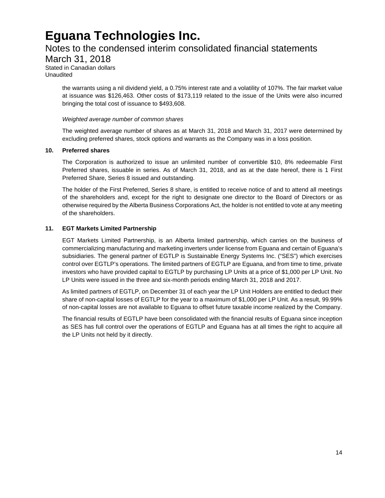### Notes to the condensed interim consolidated financial statements

March 31, 2018

Stated in Canadian dollars Unaudited

> the warrants using a nil dividend yield, a 0.75% interest rate and a volatility of 107%. The fair market value at issuance was \$126,463. Other costs of \$173,119 related to the issue of the Units were also incurred bringing the total cost of issuance to \$493,608.

#### *Weighted average number of common shares*

The weighted average number of shares as at March 31, 2018 and March 31, 2017 were determined by excluding preferred shares, stock options and warrants as the Company was in a loss position.

#### **10. Preferred shares**

The Corporation is authorized to issue an unlimited number of convertible \$10, 8% redeemable First Preferred shares, issuable in series. As of March 31, 2018, and as at the date hereof, there is 1 First Preferred Share, Series 8 issued and outstanding.

The holder of the First Preferred, Series 8 share, is entitled to receive notice of and to attend all meetings of the shareholders and, except for the right to designate one director to the Board of Directors or as otherwise required by the Alberta Business Corporations Act, the holder is not entitled to vote at any meeting of the shareholders.

### **11. EGT Markets Limited Partnership**

EGT Markets Limited Partnership, is an Alberta limited partnership, which carries on the business of commercializing manufacturing and marketing inverters under license from Eguana and certain of Eguana's subsidiaries. The general partner of EGTLP is Sustainable Energy Systems Inc. ("SES") which exercises control over EGTLP's operations. The limited partners of EGTLP are Eguana, and from time to time, private investors who have provided capital to EGTLP by purchasing LP Units at a price of \$1,000 per LP Unit. No LP Units were issued in the three and six-month periods ending March 31, 2018 and 2017.

As limited partners of EGTLP, on December 31 of each year the LP Unit Holders are entitled to deduct their share of non-capital losses of EGTLP for the year to a maximum of \$1,000 per LP Unit. As a result, 99.99% of non-capital losses are not available to Eguana to offset future taxable income realized by the Company.

The financial results of EGTLP have been consolidated with the financial results of Eguana since inception as SES has full control over the operations of EGTLP and Eguana has at all times the right to acquire all the LP Units not held by it directly.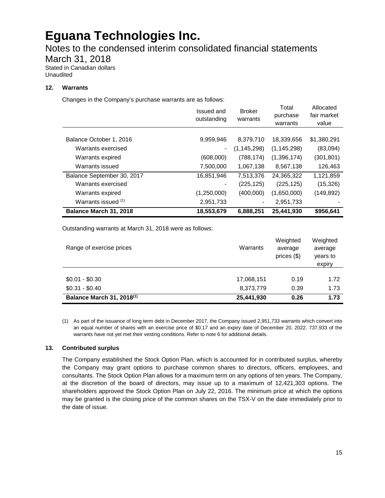Notes to the condensed interim consolidated financial statements

March 31, 2018

Stated in Canadian dollars Unaudited

### **12. Warrants**

Changes in the Company's purchase warrants are as follows:

|                            | Issued and<br>outstanding | <b>Broker</b><br>warrants | Total<br>purchase<br>warrants | Allocated<br>fair market<br>value |
|----------------------------|---------------------------|---------------------------|-------------------------------|-----------------------------------|
|                            |                           |                           |                               |                                   |
| Balance October 1, 2016    | 9,959,946                 | 8,379,710                 | 18,339,656                    | \$1,380,291                       |
| Warrants exercised         | $\blacksquare$            | (1, 145, 298)             | (1, 145, 298)                 | (83,094)                          |
| Warrants expired           | (608,000)                 | (788, 174)                | (1,396,174)                   | (301,801)                         |
| Warrants issued            | 7,500,000                 | 1,067,138                 | 8,567,138                     | 126,463                           |
| Balance September 30, 2017 | 16,851,946                | 7,513,376                 | 24,365,322                    | 1,121,859                         |
| Warrants exercised         |                           | (225, 125)                | (225, 125)                    | (15, 326)                         |
| Warrants expired           | (1,250,000)               | (400,000)                 | (1,650,000)                   | (149, 892)                        |
| Warrants issued (1)        | 2,951,733                 |                           | 2,951,733                     |                                   |
| Balance March 31, 2018     | 18,553,679                | 6,888,251                 | 25,441,930                    | \$956,641                         |

Outstanding warrants at March 31, 2018 were as follows:

| Range of exercise prices              | Warrants   | Weighted<br>average<br>prices $(\$)$ | Weighted<br>average<br>years to<br>expiry |
|---------------------------------------|------------|--------------------------------------|-------------------------------------------|
| $$0.01 - $0.30$                       | 17,068,151 | 0.19                                 | 1.72                                      |
| $$0.31 - $0.40$                       | 8,373,779  | 0.39                                 | 1.73                                      |
| Balance March 31, 2018 <sup>(1)</sup> | 25,441,930 | 0.26                                 | 1.73                                      |

(1) As part of the issuance of long term debt in December 2017, the Company issued 2,951,733 warrants which convert into an equal number of shares with an exercise price of \$0.17 and an expiry date of December 20, 2022. 737,933 of the warrants have not yet met their vesting conditions. Refer to note 6 for additional details.

### **13. Contributed surplus**

The Company established the Stock Option Plan, which is accounted for in contributed surplus, whereby the Company may grant options to purchase common shares to directors, officers, employees, and consultants. The Stock Option Plan allows for a maximum term on any options of ten years. The Company, at the discretion of the board of directors, may issue up to a maximum of 12,421,303 options. The shareholders approved the Stock Option Plan on July 22, 2016. The minimum price at which the options may be granted is the closing price of the common shares on the TSX-V on the date immediately prior to the date of issue.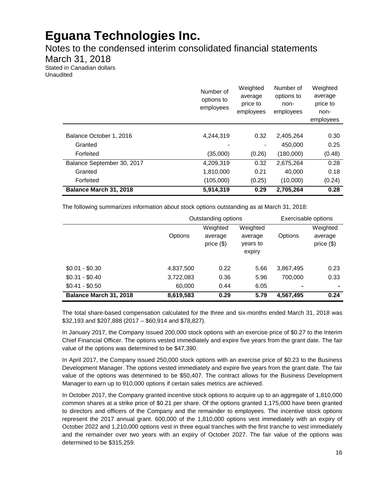Notes to the condensed interim consolidated financial statements

March 31, 2018

Stated in Canadian dollars Unaudited

|                            | Number of<br>options to<br>employees | Weighted<br>average<br>price to<br>employees | Number of<br>options to<br>non-<br>employees | Weighted<br>average<br>price to<br>non-<br>employees |
|----------------------------|--------------------------------------|----------------------------------------------|----------------------------------------------|------------------------------------------------------|
|                            |                                      |                                              |                                              |                                                      |
| Balance October 1, 2016    | 4.244.319                            | 0.32                                         | 2,405,264                                    | 0.30                                                 |
| Granted                    |                                      |                                              | 450,000                                      | 0.25                                                 |
| Forfeited                  | (35,000)                             | (0.26)                                       | (180,000)                                    | (0.48)                                               |
| Balance September 30, 2017 | 4,209,319                            | 0.32                                         | 2,675,264                                    | 0.28                                                 |
| Granted                    | 1,810,000                            | 0.21                                         | 40.000                                       | 0.18                                                 |
| Forfeited                  | (105,000)                            | (0.25)                                       | (10,000)                                     | (0.24)                                               |
| Balance March 31, 2018     | 5,914,319                            | 0.29                                         | 2,705,264                                    | 0.28                                                 |

The following summarizes information about stock options outstanding as at March 31, 2018:

|                        | Outstanding options |                                      |                                           |                | Exercisable options                 |
|------------------------|---------------------|--------------------------------------|-------------------------------------------|----------------|-------------------------------------|
|                        | <b>Options</b>      | Weighted<br>average<br>price $($ \$) | Weighted<br>average<br>years to<br>expiry | <b>Options</b> | Weighted<br>average<br>price $(\$)$ |
| $$0.01 - $0.30$        | 4,837,500           | 0.22                                 | 5.66                                      | 3,867,495      | 0.23                                |
| $$0.31 - $0.40$        | 3,722,083           | 0.36                                 | 5.96                                      | 700.000        | 0.33                                |
| $$0.41 - $0.50$        | 60,000              | 0.44                                 | 6.05                                      | ۰              | ۰                                   |
| Balance March 31, 2018 | 8,619,583           | 0.29                                 | 5.79                                      | 4,567,495      | 0.24                                |

The total share-based compensation calculated for the three and six-months ended March 31, 2018 was \$32,193 and \$207,888 (2017 – \$60,914 and \$78,827).

In January 2017, the Company issued 200,000 stock options with an exercise price of \$0.27 to the Interim Chief Financial Officer. The options vested immediately and expire five years from the grant date. The fair value of the options was determined to be \$47,390.

In April 2017, the Company issued 250,000 stock options with an exercise price of \$0.23 to the Business Development Manager. The options vested immediately and expire five years from the grant date. The fair value of the options was determined to be \$50,407. The contract allows for the Business Development Manager to earn up to 910,000 options if certain sales metrics are achieved.

In October 2017, the Company granted incentive stock options to acquire up to an aggregate of 1,810,000 common shares at a strike price of \$0.21 per share. Of the options granted 1,175,000 have been granted to directors and officers of the Company and the remainder to employees. The incentive stock options represent the 2017 annual grant. 600,000 of the 1,810,000 options vest immediately with an expiry of October 2022 and 1,210,000 options vest in three equal tranches with the first tranche to vest immediately and the remainder over two years with an expiry of October 2027. The fair value of the options was determined to be \$315,259.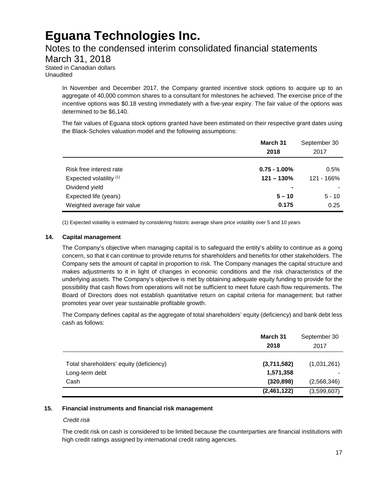### Notes to the condensed interim consolidated financial statements

March 31, 2018

Stated in Canadian dollars Unaudited

> In November and December 2017, the Company granted incentive stock options to acquire up to an aggregate of 40,000 common shares to a consultant for milestones he achieved. The exercise price of the incentive options was \$0.18 vesting immediately with a five-year expiry. The fair value of the options was determined to be \$6,140.

> The fair values of Eguana stock options granted have been estimated on their respective grant dates using the Black-Scholes valuation model and the following assumptions:

|                             | March 31<br>2018 | September 30<br>2017 |
|-----------------------------|------------------|----------------------|
| Risk free interest rate     | $0.75 - 1.00\%$  | 0.5%                 |
| Expected volatility (1)     | $121 - 130%$     | 121 - 166%           |
| Dividend yield              | -                |                      |
| Expected life (years)       | $5 - 10$         | $5 - 10$             |
| Weighted average fair value | 0.175            | 0.25                 |

(1) Expected volatility is estimated by considering historic average share price volatility over 5 and 10 years

#### **14. Capital management**

The Company's objective when managing capital is to safeguard the entity's ability to continue as a going concern, so that it can continue to provide returns for shareholders and benefits for other stakeholders. The Company sets the amount of capital in proportion to risk. The Company manages the capital structure and makes adjustments to it in light of changes in economic conditions and the risk characteristics of the underlying assets. The Company's objective is met by obtaining adequate equity funding to provide for the possibility that cash flows from operations will not be sufficient to meet future cash flow requirements. The Board of Directors does not establish quantitative return on capital criteria for management; but rather promotes year over year sustainable profitable growth.

The Company defines capital as the aggregate of total shareholders' equity (deficiency) and bank debt less cash as follows:

|                                         | March 31<br>September 30<br>2017<br>2018 |             |
|-----------------------------------------|------------------------------------------|-------------|
| Total shareholders' equity (deficiency) | (3,711,582)                              | (1,031,261) |
| Long-term debt                          | 1,571,358                                |             |
| Cash                                    | (320, 898)                               | (2,568,346) |
|                                         | (2,461,122)                              | (3,599,607) |

#### **15. Financial instruments and financial risk management**

#### *Credit risk*

The credit risk on cash is considered to be limited because the counterparties are financial institutions with high credit ratings assigned by international credit rating agencies.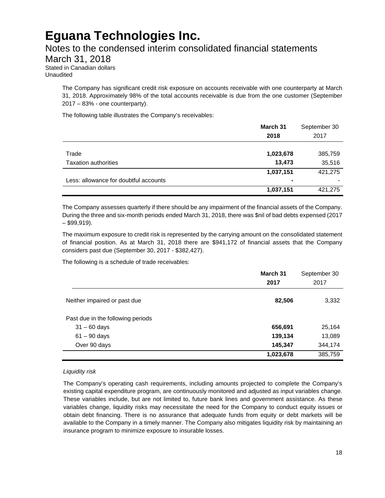### Notes to the condensed interim consolidated financial statements

March 31, 2018

Stated in Canadian dollars Unaudited

> The Company has significant credit risk exposure on accounts receivable with one counterparty at March 31, 2018. Approximately 98% of the total accounts receivable is due from the one customer (September 2017 – 83% - one counterparty).

The following table illustrates the Company's receivables:

|                                       | March 31<br>2018 | September 30<br>2017 |
|---------------------------------------|------------------|----------------------|
| Trade                                 | 1,023,678        | 385,759              |
| <b>Taxation authorities</b>           | 13,473           | 35,516               |
|                                       | 1,037,151        | 421,275              |
| Less: allowance for doubtful accounts | ۰                |                      |
|                                       | 1,037,151        | 421,275              |

The Company assesses quarterly if there should be any impairment of the financial assets of the Company. During the three and six-month periods ended March 31, 2018, there was \$nil of bad debts expensed (2017  $-$  \$99,919).

The maximum exposure to credit risk is represented by the carrying amount on the consolidated statement of financial position. As at March 31, 2018 there are \$941,172 of financial assets that the Company considers past due (September 30, 2017 - \$382,427).

The following is a schedule of trade receivables:

|                                   | March 31<br>2017 | September 30<br>2017 |  |
|-----------------------------------|------------------|----------------------|--|
|                                   |                  |                      |  |
| Neither impaired or past due      | 82,506           | 3,332                |  |
| Past due in the following periods |                  |                      |  |
| $31 - 60$ days                    | 656,691          | 25,164               |  |
| $61 - 90$ days                    | 139,134          | 13,089               |  |
| Over 90 days                      | 145,347          | 344,174              |  |
|                                   | 1,023,678        | 385,759              |  |

### *Liquidity risk*

The Company's operating cash requirements, including amounts projected to complete the Company's existing capital expenditure program, are continuously monitored and adjusted as input variables change. These variables include, but are not limited to, future bank lines and government assistance. As these variables change, liquidity risks may necessitate the need for the Company to conduct equity issues or obtain debt financing. There is no assurance that adequate funds from equity or debt markets will be available to the Company in a timely manner. The Company also mitigates liquidity risk by maintaining an insurance program to minimize exposure to insurable losses.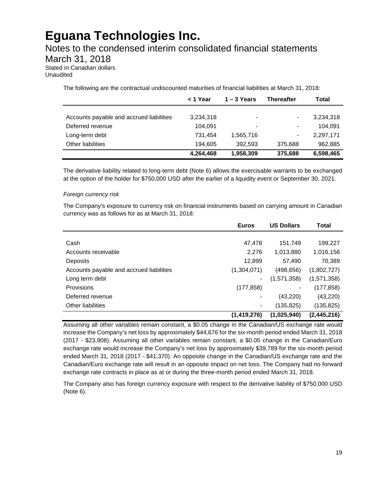### Notes to the condensed interim consolidated financial statements

March 31, 2018

Stated in Canadian dollars Unaudited

The following are the contractual undiscounted maturities of financial liabilities at March 31, 2018:

|                                          | < 1 Year  | $1 - 3$ Years  | <b>Thereafter</b>        | Total     |
|------------------------------------------|-----------|----------------|--------------------------|-----------|
|                                          |           |                |                          |           |
| Accounts payable and accrued liabilities | 3,234,318 | $\blacksquare$ | $\overline{\phantom{a}}$ | 3,234,318 |
| Deferred revenue                         | 104.091   |                | $\overline{\phantom{a}}$ | 104.091   |
| Long-term debt                           | 731.454   | 1,565,716      | $\blacksquare$           | 2,297,171 |
| <b>Other liabilities</b>                 | 194.605   | 392.593        | 375,688                  | 962,885   |
|                                          | 4,264,468 | 1,958,309      | 375,688                  | 6,598,465 |

The derivative liability related to long-term debt (Note 6) allows the exercisable warrants to be exchanged at the option of the holder for \$750,000 USD after the earlier of a liquidity event or September 30, 2021.

#### *Foreign currency risk*

The Company's exposure to currency risk on financial instruments based on carrying amount in Canadian currency was as follows for as at March 31, 2018:

|                                          | <b>Euros</b>  | <b>US Dollars</b> | Total       |
|------------------------------------------|---------------|-------------------|-------------|
|                                          |               |                   |             |
| Cash                                     | 47,478        | 151,749           | 199,227     |
| Accounts receivable                      | 2,276         | 1,013,880         | 1,016,156   |
| Deposits                                 | 12,899        | 57,490            | 70,389      |
| Accounts payable and accrued liabilities | (1,304,071)   | (498, 656)        | (1,802,727) |
| Long term debt                           |               | (1,571,358)       | (1,571,358) |
| Provisions                               | (177, 858)    |                   | (177, 858)  |
| Deferred revenue                         |               | (43, 220)         | (43, 220)   |
| Other liabilities                        |               | (135, 825)        | (135, 825)  |
|                                          | (1, 419, 276) | (1,025,940)       | (2,445,216) |

Assuming all other variables remain constant, a \$0.05 change in the Canadian/US exchange rate would increase the Company's net loss by approximately \$44,676 for the six-month period ended March 31, 2018 (2017 - \$23,908). Assuming all other variables remain constant, a \$0.05 change in the Canadian/Euro exchange rate would increase the Company's net loss by approximately \$39,789 for the six-month period ended March 31, 2018 (2017 - \$41,370). An opposite change in the Canadian/US exchange rate and the Canadian/Euro exchange rate will result in an opposite impact on net loss. The Company had no forward exchange rate contracts in place as at or during the three-month period ended March 31, 2018.

The Company also has foreign currency exposure with respect to the derivative liability of \$750,000 USD (Note 6).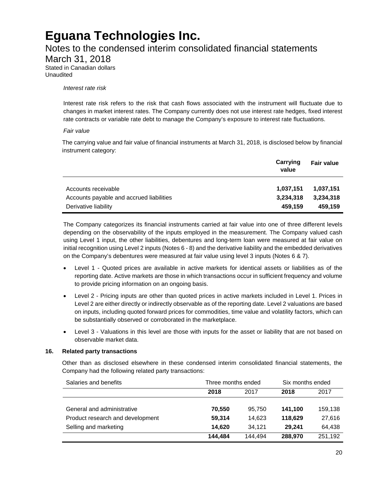### Notes to the condensed interim consolidated financial statements

March 31, 2018

Stated in Canadian dollars Unaudited

*Interest rate risk*

Interest rate risk refers to the risk that cash flows associated with the instrument will fluctuate due to changes in market interest rates. The Company currently does not use interest rate hedges, fixed interest rate contracts or variable rate debt to manage the Company's exposure to interest rate fluctuations.

### *Fair value*

The carrying value and fair value of financial instruments at March 31, 2018, is disclosed below by financial instrument category:

|                                          | Carrying<br>value | <b>Fair value</b> |
|------------------------------------------|-------------------|-------------------|
| Accounts receivable                      | 1,037,151         | 1,037,151         |
| Accounts payable and accrued liabilities | 3,234,318         | 3,234,318         |
| Derivative liability                     | 459,159           | 459,159           |

The Company categorizes its financial instruments carried at fair value into one of three different levels depending on the observability of the inputs employed in the measurement. The Company valued cash using Level 1 input, the other liabilities, debentures and long-term loan were measured at fair value on initial recognition using Level 2 inputs (Notes 6 - 8) and the derivative liability and the embedded derivatives on the Company's debentures were measured at fair value using level 3 inputs (Notes 6 & 7).

- Level 1 Quoted prices are available in active markets for identical assets or liabilities as of the reporting date. Active markets are those in which transactions occur in sufficient frequency and volume to provide pricing information on an ongoing basis.
- Level 2 Pricing inputs are other than quoted prices in active markets included in Level 1. Prices in Level 2 are either directly or indirectly observable as of the reporting date. Level 2 valuations are based on inputs, including quoted forward prices for commodities, time value and volatility factors, which can be substantially observed or corroborated in the marketplace.
- Level 3 Valuations in this level are those with inputs for the asset or liability that are not based on observable market data.

### **16. Related party transactions**

Other than as disclosed elsewhere in these condensed interim consolidated financial statements, the Company had the following related party transactions:

| Salaries and benefits            | Three months ended |         | Six months ended |         |
|----------------------------------|--------------------|---------|------------------|---------|
|                                  | 2018               | 2017    | 2018             | 2017    |
|                                  |                    |         |                  |         |
| General and administrative       | 70.550             | 95.750  | 141.100          | 159,138 |
| Product research and development | 59,314             | 14.623  | 118.629          | 27,616  |
| Selling and marketing            | 14.620             | 34.121  | 29.241           | 64,438  |
|                                  | 144.484            | 144.494 | 288,970          | 251.192 |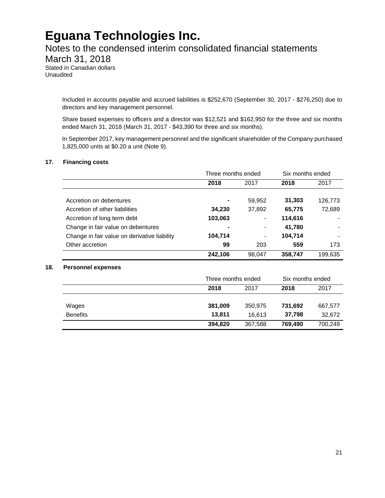### Notes to the condensed interim consolidated financial statements

March 31, 2018

Stated in Canadian dollars Unaudited

> Included in accounts payable and accrued liabilities is \$252,670 (September 30, 2017 - \$276,250) due to directors and key management personnel.

> Share based expenses to officers and a director was \$12,521 and \$162,950 for the three and six months ended March 31, 2018 (March 31, 2017 - \$43,390 for three and six months).

> In September 2017, key management personnel and the significant shareholder of the Company purchased 1,825,000 units at \$0.20 a unit (Note 9).

#### **17. Financing costs**

|                                              | Three months ended |                          | Six months ended |         |
|----------------------------------------------|--------------------|--------------------------|------------------|---------|
|                                              | 2018               | 2017                     | 2018             | 2017    |
|                                              |                    |                          |                  |         |
| Accretion on debentures                      |                    | 59,952                   | 31,303           | 126,773 |
| Accretion of other liabilities               | 34,230             | 37,892                   | 65,775           | 72,689  |
| Accretion of long term debt                  | 103,063            | $\overline{\phantom{0}}$ | 114,616          |         |
| Change in fair value on debentures           |                    |                          | 41,780           |         |
| Change in fair value on derivative liability | 104,714            |                          | 104,714          |         |
| Other accretion                              | 99                 | 203                      | 559              | 173     |
|                                              | 242.106            | 98.047                   | 358,747          | 199,635 |

#### **18. Personnel expenses**

|                 | Three months ended |         | Six months ended |         |
|-----------------|--------------------|---------|------------------|---------|
|                 | 2018               | 2017    | 2018             | 2017    |
|                 |                    |         |                  |         |
| Wages           | 381,009            | 350,975 | 731,692          | 667,577 |
| <b>Benefits</b> | 13.811             | 16.613  | 37.798           | 32,672  |
|                 | 394,820            | 367,588 | 769,490          | 700,249 |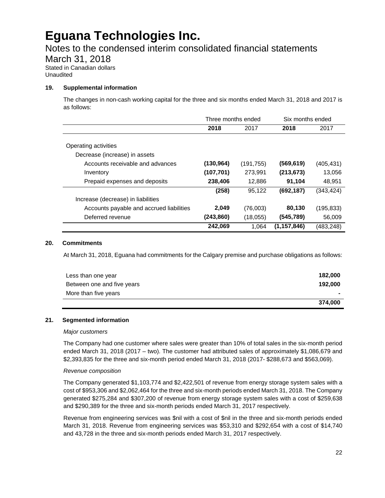### Notes to the condensed interim consolidated financial statements

March 31, 2018

Stated in Canadian dollars Unaudited

#### **19. Supplemental information**

The changes in non-cash working capital for the three and six months ended March 31, 2018 and 2017 is as follows:

|                                          | Three months ended |            | Six months ended |            |
|------------------------------------------|--------------------|------------|------------------|------------|
|                                          | 2018               | 2017       | 2018             | 2017       |
|                                          |                    |            |                  |            |
| Operating activities                     |                    |            |                  |            |
| Decrease (increase) in assets            |                    |            |                  |            |
| Accounts receivable and advances         | (130, 964)         | (191, 755) | (569,619)        | (405, 431) |
| Inventory                                | (107, 701)         | 273,991    | (213, 673)       | 13,056     |
| Prepaid expenses and deposits            | 238,406            | 12,886     | 91,104           | 48,951     |
|                                          | (258)              | 95,122     | (692, 187)       | (343,424)  |
| Increase (decrease) in liabilities       |                    |            |                  |            |
| Accounts payable and accrued liabilities | 2,049              | (76,003)   | 80,130           | (195, 833) |
| Deferred revenue                         | (243,860)          | (18,055)   | (545,789)        | 56,009     |
|                                          | 242,069            | 1.064      | (1, 157, 846)    | (483, 248) |

#### **20. Commitments**

At March 31, 2018, Eguana had commitments for the Calgary premise and purchase obligations as follows:

| Less than one year         | 182,000 |
|----------------------------|---------|
| Between one and five years | 192.000 |
| More than five years       |         |
|                            | 374.000 |

#### **21. Segmented information**

#### *Major customers*

The Company had one customer where sales were greater than 10% of total sales in the six-month period ended March 31, 2018 (2017 – two). The customer had attributed sales of approximately \$1,086,679 and \$2,393,835 for the three and six-month period ended March 31, 2018 (2017- \$288,673 and \$563,069).

#### *Revenue composition*

The Company generated \$1,103,774 and \$2,422,501 of revenue from energy storage system sales with a cost of \$953,306 and \$2,062,464 for the three and six-month periods ended March 31, 2018. The Company generated \$275,284 and \$307,200 of revenue from energy storage system sales with a cost of \$259,638 and \$290,389 for the three and six-month periods ended March 31, 2017 respectively.

Revenue from engineering services was \$nil with a cost of \$nil in the three and six-month periods ended March 31, 2018. Revenue from engineering services was \$53,310 and \$292,654 with a cost of \$14,740 and 43,728 in the three and six-month periods ended March 31, 2017 respectively.